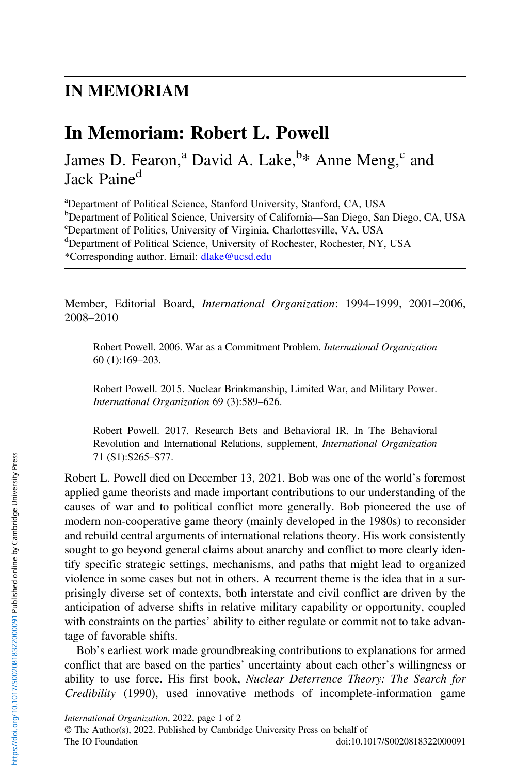## IN MEMORIAM

## In Memoriam: Robert L. Powell

James D. Fearon,<sup>a</sup> David A. Lake,<sup>b\*</sup> Anne Meng,<sup>c</sup> and Jack Paine<sup>d</sup>

<sup>a</sup>Department of Political Science, Stanford University, Stanford, CA, USA b<br> **Example 18 To Political Science, University of California—San Diego, San Diego, CA, USA**<br> **Chapartment of Politics, University of Virginia, Charlottesyille, VA, USA** Department of Politics, University of Virginia, Charlottesville, VA, USA dDepartment of Political Science, University of Rochester, Rochester, NY, USA \*Corresponding author. Email: [dlake@ucsd.edu](mailto:dlake@ucsd.edu)

Member, Editorial Board, International Organization: 1994–1999, 2001–2006, 2008–2010

Robert Powell. 2006. War as a Commitment Problem. International Organization 60 (1):169–203.

Robert Powell. 2015. Nuclear Brinkmanship, Limited War, and Military Power. International Organization 69 (3):589–626.

Robert Powell. 2017. Research Bets and Behavioral IR. In The Behavioral Revolution and International Relations, supplement, International Organization 71 (S1):S265–S77.

Robert L. Powell died on December 13, 2021. Bob was one of the world's foremost applied game theorists and made important contributions to our understanding of the causes of war and to political conflict more generally. Bob pioneered the use of modern non-cooperative game theory (mainly developed in the 1980s) to reconsider and rebuild central arguments of international relations theory. His work consistently sought to go beyond general claims about anarchy and conflict to more clearly identify specific strategic settings, mechanisms, and paths that might lead to organized violence in some cases but not in others. A recurrent theme is the idea that in a surprisingly diverse set of contexts, both interstate and civil conflict are driven by the anticipation of adverse shifts in relative military capability or opportunity, coupled with constraints on the parties' ability to either regulate or commit not to take advantage of favorable shifts.

Bob's earliest work made groundbreaking contributions to explanations for armed conflict that are based on the parties' uncertainty about each other's willingness or ability to use force. His first book, Nuclear Deterrence Theory: The Search for Credibility (1990), used innovative methods of incomplete-information game

International Organization, 2022, page 1 of 2 © The Author(s), 2022. Published by Cambridge University Press on behalf of The IO Foundation doi:10.1017/S0020818322000091